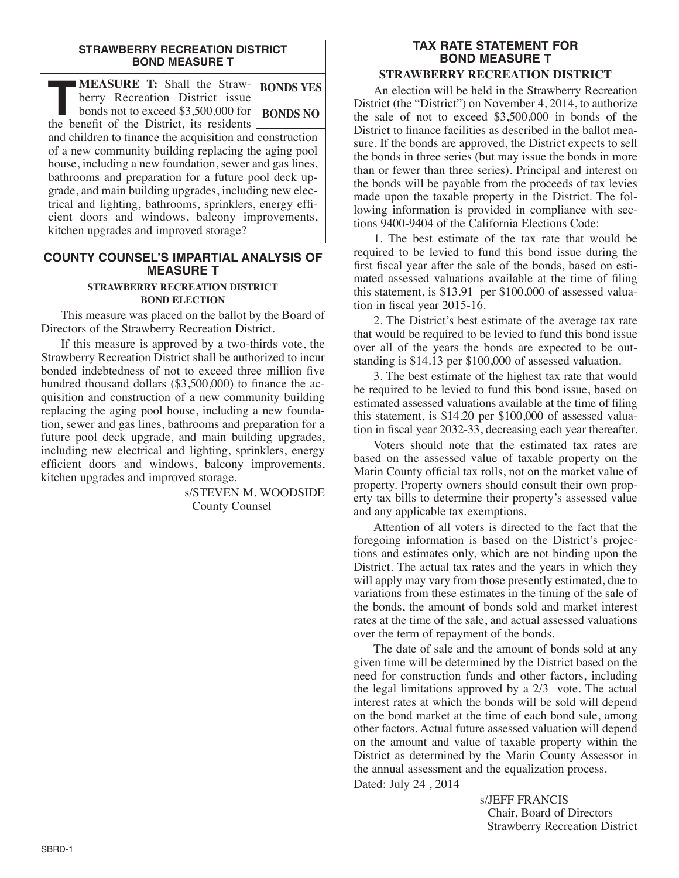#### **STRAWBERRY RECREATION DISTRICT BOND MEASURE T**

| MEASURE T: Shall the Straw-<br>berry Recreation District issue                                                     | <b>BONDS YES</b> |
|--------------------------------------------------------------------------------------------------------------------|------------------|
| bonds not to exceed \$3,500,000 for<br>the benefit of the District, its residents                                  | <b>BONDS NO</b>  |
| and children to finance the acquisition and construction<br>of a new community building replacing the aging pool   |                  |
| house, including a new foundation, sewer and gas lines,<br>bathrooms and preparation for a future pool deck up-    |                  |
| grade, and main building upgrades, including new elec-<br>trical and lighting, bathrooms, sprinklers, energy effi- |                  |
| cient doors and windows, balcony improvements,<br>kitchen upgrades and improved storage?                           |                  |

## **COUNTY COUNSEL'S IMPARTIAL ANALYSIS OF MEASURE T STRAWBERRY RECREATION DISTRICT BOND ELECTION**

This measure was placed on the ballot by the Board of Directors of the Strawberry Recreation District.

If this measure is approved by a two-thirds vote, the Strawberry Recreation District shall be authorized to incur bonded indebtedness of not to exceed three million five hundred thousand dollars (\$3,500,000) to finance the acquisition and construction of a new community building replacing the aging pool house, including a new foundation, sewer and gas lines, bathrooms and preparation for a future pool deck upgrade, and main building upgrades, including new electrical and lighting, sprinklers, energy efficient doors and windows, balcony improvements, kitchen upgrades and improved storage.

> s/STEVEN M. WOODSIDE County Counsel

## **TAX RATE STATEMENT FOR BOND MEASURE T STRAWBERRY RECREATION DISTRICT**

An election will be held in the Strawberry Recreation District (the "District") on November 4, 2014, to authorize the sale of not to exceed \$3,500,000 in bonds of the District to finance facilities as described in the ballot measure. If the bonds are approved, the District expects to sell the bonds in three series (but may issue the bonds in more than or fewer than three series). Principal and interest on the bonds will be payable from the proceeds of tax levies made upon the taxable property in the District. The following information is provided in compliance with sections 9400-9404 of the California Elections Code:

1. The best estimate of the tax rate that would be required to be levied to fund this bond issue during the first fiscal year after the sale of the bonds, based on estimated assessed valuations available at the time of filing this statement, is \$13.91 per \$100,000 of assessed valuation in fiscal year 2015-16.

2. The District's best estimate of the average tax rate that would be required to be levied to fund this bond issue over all of the years the bonds are expected to be outstanding is \$14.13 per \$100,000 of assessed valuation.

3. The best estimate of the highest tax rate that would be required to be levied to fund this bond issue, based on estimated assessed valuations available at the time of filing this statement, is \$14.20 per \$100,000 of assessed valuation in fiscal year 2032-33, decreasing each year thereafter.

Voters should note that the estimated tax rates are based on the assessed value of taxable property on the Marin County official tax rolls, not on the market value of property. Property owners should consult their own property tax bills to determine their property's assessed value and any applicable tax exemptions.

Attention of all voters is directed to the fact that the foregoing information is based on the District's projections and estimates only, which are not binding upon the District. The actual tax rates and the years in which they will apply may vary from those presently estimated, due to variations from these estimates in the timing of the sale of the bonds, the amount of bonds sold and market interest rates at the time of the sale, and actual assessed valuations over the term of repayment of the bonds.

The date of sale and the amount of bonds sold at any given time will be determined by the District based on the need for construction funds and other factors, including the legal limitations approved by a 2/3 vote. The actual interest rates at which the bonds will be sold will depend on the bond market at the time of each bond sale, among other factors. Actual future assessed valuation will depend on the amount and value of taxable property within the District as determined by the Marin County Assessor in the annual assessment and the equalization process.

Dated: July 24 , 2014

s/JEFF FRANCIS Chair, Board of Directors Strawberry Recreation District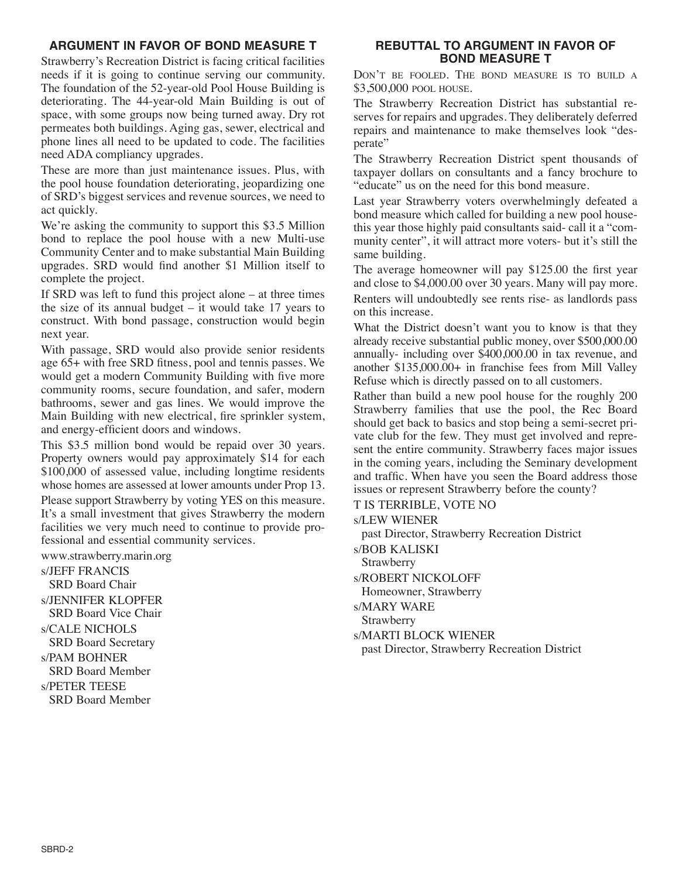# **ARGUMENT IN FAVOR OF BOND MEASURE T**

Strawberry's Recreation District is facing critical facilities needs if it is going to continue serving our community. The foundation of the 52-year-old Pool House Building is deteriorating. The 44-year-old Main Building is out of space, with some groups now being turned away. Dry rot permeates both buildings. Aging gas, sewer, electrical and phone lines all need to be updated to code. The facilities need ADA compliancy upgrades.

These are more than just maintenance issues. Plus, with the pool house foundation deteriorating, jeopardizing one of SRD's biggest services and revenue sources, we need to act quickly.

We're asking the community to support this \$3.5 Million bond to replace the pool house with a new Multi-use Community Center and to make substantial Main Building upgrades. SRD would find another \$1 Million itself to complete the project.

If SRD was left to fund this project alone – at three times the size of its annual budget  $-$  it would take 17 years to construct. With bond passage, construction would begin next year.

With passage, SRD would also provide senior residents age 65+ with free SRD fitness, pool and tennis passes. We would get a modern Community Building with five more community rooms, secure foundation, and safer, modern bathrooms, sewer and gas lines. We would improve the Main Building with new electrical, fire sprinkler system, and energy-efficient doors and windows.

This \$3.5 million bond would be repaid over 30 years. Property owners would pay approximately \$14 for each \$100,000 of assessed value, including longtime residents whose homes are assessed at lower amounts under Prop 13.

Please support Strawberry by voting YES on this measure. It's a small investment that gives Strawberry the modern facilities we very much need to continue to provide professional and essential community services.

www.strawberry.marin.org

s/JEFF FRANCIS SRD Board Chair s/JENNIFER KlOPFER SRD Board Vice Chair s/CAlE NIChOlS SRD Board Secretary s/PAM BOHNER SRD Board Member s/PETER TEESE SRD Board Member

## **REBUTTAL TO ARGUMENT IN FAVOR OF BOND MEASURE T**

DON'T BE FOOlED. ThE BOND MEASuRE IS TO BuIlD A \$3,500,000 POOl hOuSE.

The Strawberry Recreation District has substantial reserves for repairs and upgrades. They deliberately deferred repairs and maintenance to make themselves look "desperate"

The Strawberry Recreation District spent thousands of taxpayer dollars on consultants and a fancy brochure to "educate" us on the need for this bond measure.

Last year Strawberry voters overwhelmingly defeated a bond measure which called for building a new pool housethis year those highly paid consultants said- call it a "community center", it will attract more voters- but it's still the same building.

The average homeowner will pay \$125.00 the first year and close to \$4,000.00 over 30 years. Many will pay more. Renters will undoubtedly see rents rise- as landlords pass on this increase.

What the District doesn't want you to know is that they already receive substantial public money, over \$500,000.00 annually- including over \$400,000.00 in tax revenue, and another \$135,000.00+ in franchise fees from Mill Valley Refuse which is directly passed on to all customers.

Rather than build a new pool house for the roughly 200 Strawberry families that use the pool, the Rec Board should get back to basics and stop being a semi-secret private club for the few. They must get involved and represent the entire community. Strawberry faces major issues in the coming years, including the Seminary development and traffic. When have you seen the Board address those issues or represent Strawberry before the county?

T IS TERRIBlE, VOTE NO

s/lEW WIENER

past Director, Strawberry Recreation District

s/BOB KAlISKI

Strawberry

s/ROBERT NICKOlOFF

homeowner, Strawberry

s/MARY WARE

Strawberry

s/MARTI BlOCK WIENER

past Director, Strawberry Recreation District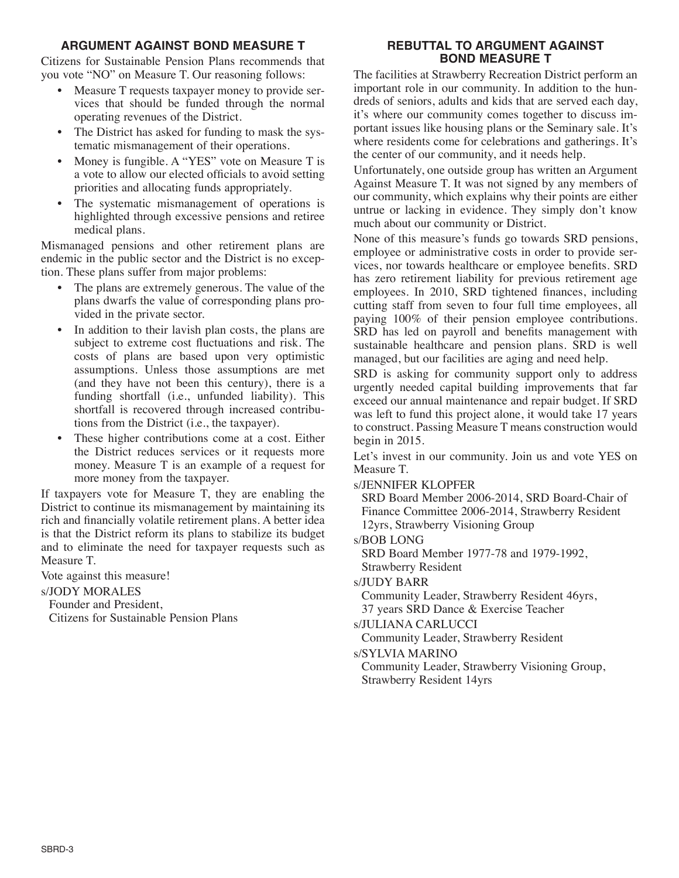## **ARGUMENT AGAINST BOND MEASURE T**

Citizens for Sustainable Pension Plans recommends that you vote "NO" on Measure T. Our reasoning follows:

- Measure T requests taxpayer money to provide services that should be funded through the normal operating revenues of the District.
- The District has asked for funding to mask the systematic mismanagement of their operations.
- Money is fungible. A "YES" vote on Measure T is a vote to allow our elected officials to avoid setting priorities and allocating funds appropriately.
- The systematic mismanagement of operations is highlighted through excessive pensions and retiree medical plans.

Mismanaged pensions and other retirement plans are endemic in the public sector and the District is no exception. These plans suffer from major problems:

- The plans are extremely generous. The value of the plans dwarfs the value of corresponding plans provided in the private sector.
- In addition to their lavish plan costs, the plans are subject to extreme cost fluctuations and risk. The costs of plans are based upon very optimistic assumptions. Unless those assumptions are met (and they have not been this century), there is a funding shortfall (i.e., unfunded liability). This shortfall is recovered through increased contributions from the District (i.e., the taxpayer).
- These higher contributions come at a cost. Either the District reduces services or it requests more money. Measure T is an example of a request for more money from the taxpayer.

If taxpayers vote for Measure T, they are enabling the District to continue its mismanagement by maintaining its rich and financially volatile retirement plans. A better idea is that the District reform its plans to stabilize its budget and to eliminate the need for taxpayer requests such as Measure T.

Vote against this measure!

s/JODY MORAlES

Founder and President,

Citizens for Sustainable Pension Plans

# **REBUTTAL TO ARGUMENT AGAINST BOND MEASURE T**

The facilities at Strawberry Recreation District perform an important role in our community. In addition to the hundreds of seniors, adults and kids that are served each day, it's where our community comes together to discuss important issues like housing plans or the Seminary sale. It's where residents come for celebrations and gatherings. It's the center of our community, and it needs help.

Unfortunately, one outside group has written an Argument Against Measure T. It was not signed by any members of our community, which explains why their points are either untrue or lacking in evidence. They simply don't know much about our community or District.

None of this measure's funds go towards SRD pensions, employee or administrative costs in order to provide services, nor towards healthcare or employee benefits. SRD has zero retirement liability for previous retirement age employees. In 2010, SRD tightened finances, including cutting staff from seven to four full time employees, all paying 100% of their pension employee contributions. SRD has led on payroll and benefits management with sustainable healthcare and pension plans. SRD is well managed, but our facilities are aging and need help.

SRD is asking for community support only to address urgently needed capital building improvements that far exceed our annual maintenance and repair budget. If SRD was left to fund this project alone, it would take 17 years to construct. Passing Measure T means construction would begin in 2015.

Let's invest in our community. Join us and vote YES on Measure T.

s/JENNIFER KlOPFER

SRD Board Member 2006-2014, SRD Board-Chair of Finance Committee 2006-2014, Strawberry Resident 12yrs, Strawberry Visioning Group

s/BOB lONG

SRD Board Member 1977-78 and 1979-1992,

Strawberry Resident

s/JuDY BARR

Community leader, Strawberry Resident 46yrs, 37 years SRD Dance & Exercise Teacher

s/JulIANA CARluCCI

Community leader, Strawberry Resident

s/SYlVIA MARINO

Community leader, Strawberry Visioning Group, Strawberry Resident 14yrs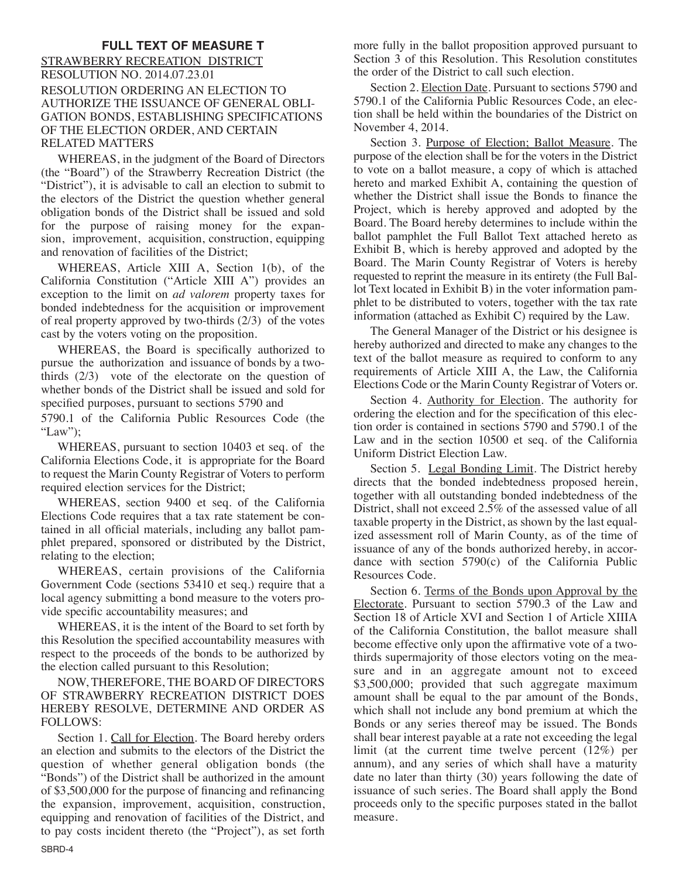## **FULL TEXT OF MEASURE T**

STRAWBERRY RECREATION DISTRICT RESOluTION NO. 2014.07.23.01 RESOluTION ORDERING AN ElECTION TO AuThORIZE ThE ISSuANCE OF GENERAl OBlI-GATION BONDS, ESTABlIShING SPECIFICATIONS OF ThE ElECTION ORDER, AND CERTAIN RElATED MATTERS

WhEREAS, in the judgment of the Board of Directors (the "Board") of the Strawberry Recreation District (the "District"), it is advisable to call an election to submit to the electors of the District the question whether general obligation bonds of the District shall be issued and sold for the purpose of raising money for the expansion, improvement, acquisition, construction, equipping and renovation of facilities of the District;

WhEREAS, Article XIII A, Section 1(b), of the California Constitution ("Article XIII A") provides an exception to the limit on *ad valorem* property taxes for bonded indebtedness for the acquisition or improvement of real property approved by two-thirds (2/3) of the votes cast by the voters voting on the proposition.

WhEREAS, the Board is specifically authorized to pursue the authorization and issuance of bonds by a twothirds (2/3) vote of the electorate on the question of whether bonds of the District shall be issued and sold for specified purposes, pursuant to sections 5790 and

5790.1 of the California Public Resources Code (the "law");

WhEREAS, pursuant to section 10403 et seq. of the California Elections Code, it is appropriate for the Board to request the Marin County Registrar of Voters to perform required election services for the District;

WhEREAS, section 9400 et seq. of the California Elections Code requires that a tax rate statement be contained in all official materials, including any ballot pamphlet prepared, sponsored or distributed by the District, relating to the election;

WhEREAS, certain provisions of the California Government Code (sections 53410 et seq.) require that a local agency submitting a bond measure to the voters provide specific accountability measures; and

WhEREAS, it is the intent of the Board to set forth by this Resolution the specified accountability measures with respect to the proceeds of the bonds to be authorized by the election called pursuant to this Resolution;

NOW, ThEREFORE, ThE BOARD OF DIRECTORS OF STRAWBERRY RECREATION DISTRICT DOES hEREBY RESOlVE, DETERMINE AND ORDER AS FOllOWS:

Section 1. Call for Election. The Board hereby orders an election and submits to the electors of the District the question of whether general obligation bonds (the "Bonds") of the District shall be authorized in the amount of \$3,500,000 for the purpose of financing and refinancing the expansion, improvement, acquisition, construction, equipping and renovation of facilities of the District, and to pay costs incident thereto (the "Project"), as set forth more fully in the ballot proposition approved pursuant to Section 3 of this Resolution. This Resolution constitutes the order of the District to call such election.

Section 2. Election Date. Pursuant to sections 5790 and 5790.1 of the California Public Resources Code, an election shall be held within the boundaries of the District on November 4, 2014.

Section 3. Purpose of Election; Ballot Measure. The purpose of the election shall be for the voters in the District to vote on a ballot measure, a copy of which is attached hereto and marked Exhibit A, containing the question of whether the District shall issue the Bonds to finance the Project, which is hereby approved and adopted by the Board. The Board hereby determines to include within the ballot pamphlet the Full Ballot Text attached hereto as Exhibit B, which is hereby approved and adopted by the Board. The Marin County Registrar of Voters is hereby requested to reprint the measure in its entirety (the Full Ballot Text located in Exhibit B) in the voter information pamphlet to be distributed to voters, together with the tax rate information (attached as Exhibit C) required by the law.

The General Manager of the District or his designee is hereby authorized and directed to make any changes to the text of the ballot measure as required to conform to any requirements of Article XIII A, the law, the California Elections Code or the Marin County Registrar of Voters or.

Section 4. Authority for Election. The authority for ordering the election and for the specification of this election order is contained in sections 5790 and 5790.1 of the Law and in the section 10500 et seq. of the California Uniform District Election Law.

Section 5. Legal Bonding Limit. The District hereby directs that the bonded indebtedness proposed herein, together with all outstanding bonded indebtedness of the District, shall not exceed 2.5% of the assessed value of all taxable property in the District, as shown by the last equalized assessment roll of Marin County, as of the time of issuance of any of the bonds authorized hereby, in accordance with section 5790(c) of the California Public Resources Code.

Section 6. Terms of the Bonds upon Approval by the Electorate. Pursuant to section 5790.3 of the law and Section 18 of Article XVI and Section 1 of Article XIIIA of the California Constitution, the ballot measure shall become effective only upon the affirmative vote of a twothirds supermajority of those electors voting on the measure and in an aggregate amount not to exceed \$3,500,000; provided that such aggregate maximum amount shall be equal to the par amount of the Bonds, which shall not include any bond premium at which the Bonds or any series thereof may be issued. The Bonds shall bear interest payable at a rate not exceeding the legal limit (at the current time twelve percent (12%) per annum), and any series of which shall have a maturity date no later than thirty (30) years following the date of issuance of such series. The Board shall apply the Bond proceeds only to the specific purposes stated in the ballot measure.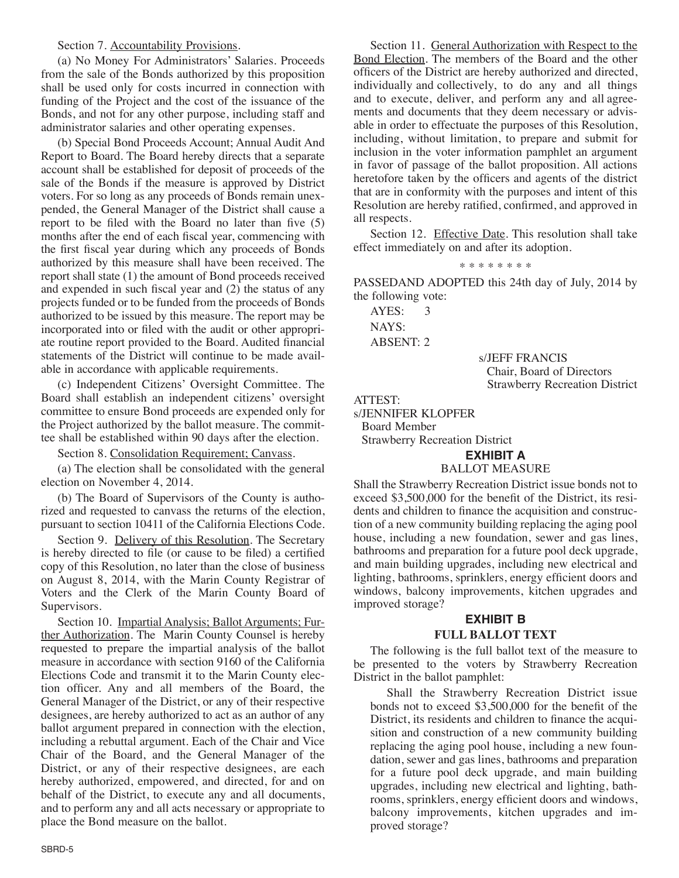#### Section 7. Accountability Provisions.

(a) No Money For Administrators' Salaries. Proceeds from the sale of the Bonds authorized by this proposition shall be used only for costs incurred in connection with funding of the Project and the cost of the issuance of the Bonds, and not for any other purpose, including staff and administrator salaries and other operating expenses.

(b) Special Bond Proceeds Account; Annual Audit And Report to Board. The Board hereby directs that a separate account shall be established for deposit of proceeds of the sale of the Bonds if the measure is approved by District voters. For so long as any proceeds of Bonds remain unexpended, the General Manager of the District shall cause a report to be filed with the Board no later than five (5) months after the end of each fiscal year, commencing with the first fiscal year during which any proceeds of Bonds authorized by this measure shall have been received. The report shall state (1) the amount of Bond proceeds received and expended in such fiscal year and (2) the status of any projects funded or to be funded from the proceeds of Bonds authorized to be issued by this measure. The report may be incorporated into or filed with the audit or other appropriate routine report provided to the Board. Audited financial statements of the District will continue to be made available in accordance with applicable requirements.

(c) Independent Citizens' Oversight Committee. The Board shall establish an independent citizens' oversight committee to ensure Bond proceeds are expended only for the Project authorized by the ballot measure. The committee shall be established within 90 days after the election.

Section 8. Consolidation Requirement; Canvass.

(a) The election shall be consolidated with the general election on November 4, 2014.

(b) The Board of Supervisors of the County is authorized and requested to canvass the returns of the election, pursuant to section 10411 of the California Elections Code.

Section 9. Delivery of this Resolution. The Secretary is hereby directed to file (or cause to be filed) a certified copy of this Resolution, no later than the close of business on August 8, 2014, with the Marin County Registrar of Voters and the Clerk of the Marin County Board of Supervisors.

Section 10. Impartial Analysis; Ballot Arguments; Further Authorization. The Marin County Counsel is hereby requested to prepare the impartial analysis of the ballot measure in accordance with section 9160 of the California Elections Code and transmit it to the Marin County election officer. Any and all members of the Board, the General Manager of the District, or any of their respective designees, are hereby authorized to act as an author of any ballot argument prepared in connection with the election, including a rebuttal argument. Each of the Chair and Vice Chair of the Board, and the General Manager of the District, or any of their respective designees, are each hereby authorized, empowered, and directed, for and on behalf of the District, to execute any and all documents, and to perform any and all acts necessary or appropriate to place the Bond measure on the ballot.

Section 11. General Authorization with Respect to the Bond Election. The members of the Board and the other officers of the District are hereby authorized and directed, individually and collectively, to do any and all things and to execute, deliver, and perform any and all agreements and documents that they deem necessary or advisable in order to effectuate the purposes of this Resolution, including, without limitation, to prepare and submit for inclusion in the voter information pamphlet an argument in favor of passage of the ballot proposition. All actions heretofore taken by the officers and agents of the district that are in conformity with the purposes and intent of this Resolution are hereby ratified, confirmed, and approved in all respects.

Section 12. Effective Date. This resolution shall take effect immediately on and after its adoption.

\* \* \* \* \* \* \* \*

PASSEDAND ADOPTED this 24th day of July, 2014 by the following vote:

AYES: 3 NAYS: ABSENT: 2

s/JEFF FRANCIS Chair, Board of Directors Strawberry Recreation District

#### ATTEST:

s/JENNIFER KlOPFER

Board Member

Strawberry Recreation District

# **EXHIBIT A**

#### BAllOT MEASuRE

Shall the Strawberry Recreation District issue bonds not to exceed \$3,500,000 for the benefit of the District, its residents and children to finance the acquisition and construction of a new community building replacing the aging pool house, including a new foundation, sewer and gas lines, bathrooms and preparation for a future pool deck upgrade, and main building upgrades, including new electrical and lighting, bathrooms, sprinklers, energy efficient doors and windows, balcony improvements, kitchen upgrades and improved storage?

# **EXHIBIT B**

#### **FULL BALLOT TEXT**

The following is the full ballot text of the measure to be presented to the voters by Strawberry Recreation District in the ballot pamphlet:

Shall the Strawberry Recreation District issue bonds not to exceed \$3,500,000 for the benefit of the District, its residents and children to finance the acquisition and construction of a new community building replacing the aging pool house, including a new foundation, sewer and gas lines, bathrooms and preparation for a future pool deck upgrade, and main building upgrades, including new electrical and lighting, bathrooms, sprinklers, energy efficient doors and windows, balcony improvements, kitchen upgrades and improved storage?